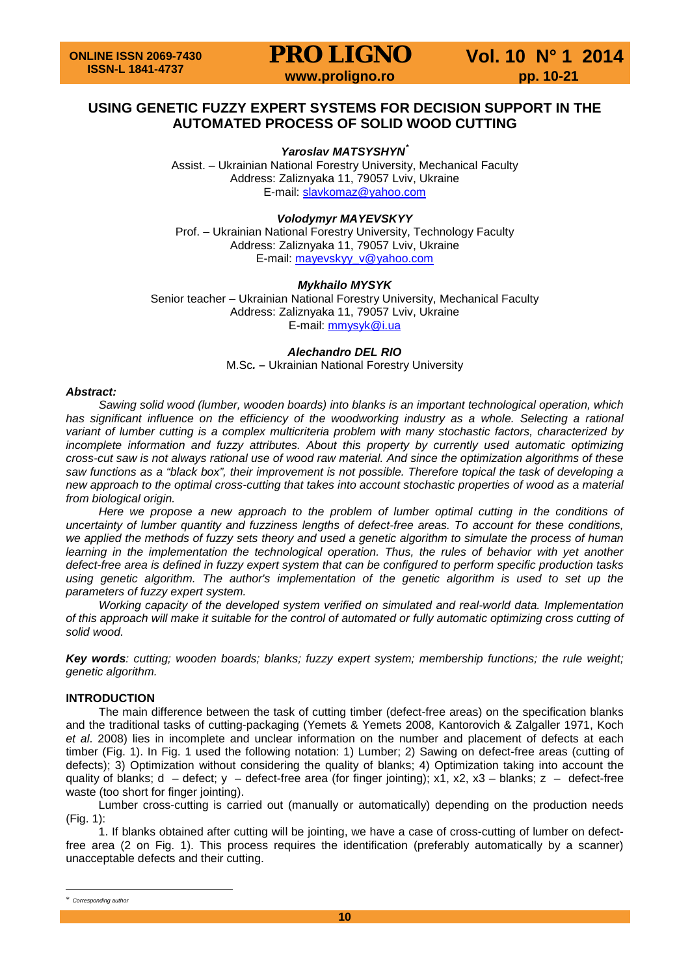# **USING GENETIC FUZZY EXPERT SYSTEMS FOR DECISION SUPPORT IN THE AUTOMATED PROCESS OF SOLID WOOD CUTTING**

*Yaroslav MATSYSHYN[\\*](#page-0-0)*

Assist. – Ukrainian National Forestry University, Mechanical Faculty Address: Zaliznyaka 11, 79057 Lviv, Ukraine E-mail: [slavkomaz@yahoo.com](mailto:slavkomaz@yahoo.com)

## *Volodymyr MAYEVSKYY*

Prof. – Ukrainian National Forestry University, Technology Faculty Address: Zaliznyaka 11, 79057 Lviv, Ukraine E-mail: [mayevskyy\\_v@yahoo.com](mailto:mayevskyy_v@yahoo.com)

## *Mykhailo MYSYK*

Senior teacher – Ukrainian National Forestry University, Mechanical Faculty Address: Zaliznyaka 11, 79057 Lviv, Ukraine E-mail: [mmysyk@i.ua](mailto:mmysyk@i.ua)

## *Alechandro DEL RIO*

M.Sc*. –* Ukrainian National Forestry University

### *Abstract:*

*Sawing solid wood (lumber, wooden boards) into blanks is an important technological operation, which*  has significant influence on the efficiency of the woodworking industry as a whole. Selecting a rational *variant of lumber cutting is a complex multicriteria problem with many stochastic factors, characterized by incomplete information and fuzzy attributes. About this property by currently used automatic optimizing cross-cut saw is not always rational use of wood raw material. And since the optimization algorithms of these saw functions as a "black box", their improvement is not possible. Therefore topical the task of developing a new approach to the optimal cross-cutting that takes into account stochastic properties of wood as a material from biological origin.*

Here we propose a new approach to the problem of lumber optimal cutting in the conditions of *uncertainty of lumber quantity and fuzziness lengths of defect-free areas. To account for these conditions, we applied the methods of fuzzy sets theory and used a genetic algorithm to simulate the process of human*  learning in the implementation the technological operation. Thus, the rules of behavior with yet another *defect-free area is defined in fuzzy expert system that can be configured to perform specific production tasks*  using genetic algorithm. The author's implementation of the genetic algorithm is used to set up the *parameters of fuzzy expert system.*

*Working capacity of the developed system verified on simulated and real-world data. Implementation of this approach will make it suitable for the control of automated or fully automatic optimizing cross cutting of solid wood.*

*Key words: cutting; wooden boards; blanks; fuzzy expert system; membership functions; the rule weight; genetic algorithm.*

### **INTRODUCTION**

The main difference between the task of cutting timber (defect-free areas) on the specification blanks and the traditional tasks of cutting-packaging (Yemets & Yemets 2008, Kantorovich & Zalgaller 1971, Koch *et al*. 2008) lies in incomplete and unclear information on the number and placement of defects at each timber (Fig. 1). In Fig. 1 used the following notation: 1) Lumber; 2) Sawing on defect-free areas (cutting of defects); 3) Optimization without considering the quality of blanks; 4) Optimization taking into account the quality of blanks; d – defect; y – defect-free area (for finger jointing); x1, x2, x3 – blanks; z – defect-free waste (too short for finger jointing).

Lumber cross-cutting is carried out (manually or automatically) depending on the production needs (Fig. 1):

1. If blanks obtained after cutting will be jointing, we have a case of cross-cutting of lumber on defectfree area (2 on Fig. 1). This process requires the identification (preferably automatically by a scanner) unacceptable defects and their cutting.

<span id="page-0-0"></span>\* *Corresponding author*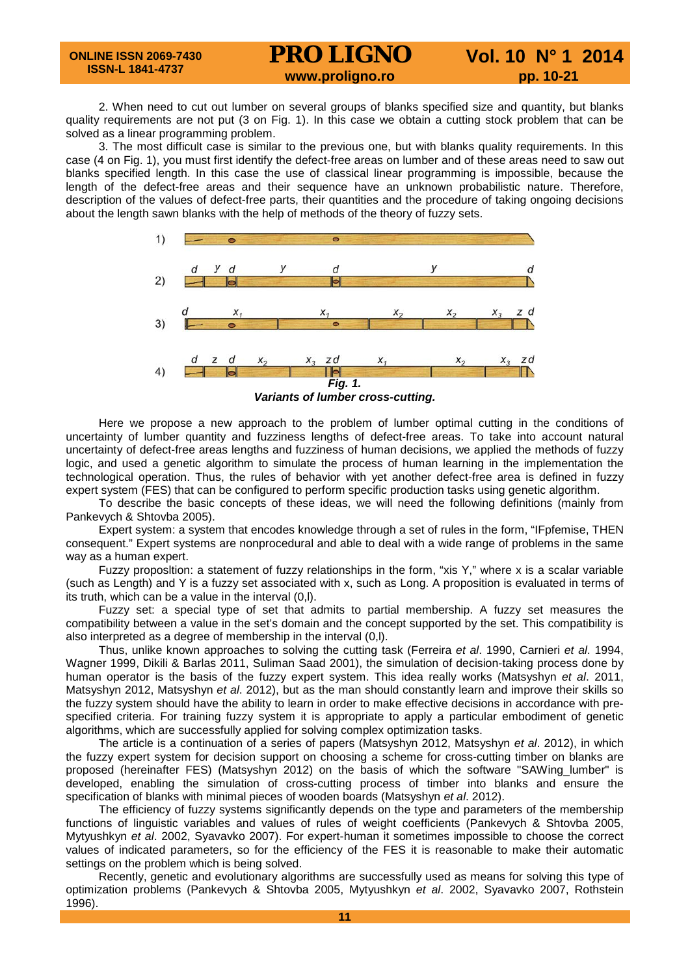2. When need to cut out lumber on several groups of blanks specified size and quantity, but blanks quality requirements are not put (3 on Fig. 1). In this case we obtain a cutting stock problem that can be solved as a linear programming problem.

3. The most difficult case is similar to the previous one, but with blanks quality requirements. In this case (4 on Fig. 1), you must first identify the defect-free areas on lumber and of these areas need to saw out blanks specified length. In this case the use of classical linear programming is impossible, because the length of the defect-free areas and their sequence have an unknown probabilistic nature. Therefore, description of the values of defect-free parts, their quantities and the procedure of taking ongoing decisions about the length sawn blanks with the help of methods of the theory of fuzzy sets.



Here we propose a new approach to the problem of lumber optimal cutting in the conditions of uncertainty of lumber quantity and fuzziness lengths of defect-free areas. To take into account natural uncertainty of defect-free areas lengths and fuzziness of human decisions, we applied the methods of fuzzy logic, and used a genetic algorithm to simulate the process of human learning in the implementation the technological operation. Thus, the rules of behavior with yet another defect-free area is defined in fuzzy expert system (FES) that can be configured to perform specific production tasks using genetic algorithm.

To describe the basic concepts of these ideas, we will need the following definitions (mainly from Pankevych & Shtovba 2005).

Expert system: a system that encodes knowledge through a set of rules in the form, "IFpfemise, THEN consequent." Expert systems are nonprocedural and able to deal with a wide range of problems in the same way as a human expert.

Fuzzy proposltion: a statement of fuzzy relationships in the form, "xis Y," where x is a scalar variable (such as Length) and Y is a fuzzy set associated with x, such as Long. A proposition is evaluated in terms of its truth, which can be a value in the interval (0,l).

Fuzzy set: a special type of set that admits to partial membership. A fuzzy set measures the compatibility between a value in the set's domain and the concept supported by the set. This compatibility is also interpreted as a degree of membership in the interval (0,l).

Thus, unlike known approaches to solving the cutting task (Ferreira *et al*. 1990, Carnieri *et al*. 1994, Wagner 1999, Dikili & Barlas 2011, Suliman Saad 2001), the simulation of decision-taking process done by human operator is the basis of the fuzzy expert system. This idea really works (Matsyshyn *et al*. 2011, Matsyshyn 2012, Matsyshyn *et al*. 2012), but as the man should constantly learn and improve their skills so the fuzzy system should have the ability to learn in order to make effective decisions in accordance with prespecified criteria. For training fuzzy system it is appropriate to apply a particular embodiment of genetic algorithms, which are successfully applied for solving complex optimization tasks.

The article is a continuation of a series of papers (Matsyshyn 2012, Matsyshyn *et al*. 2012), in which the fuzzy expert system for decision support on choosing a scheme for cross-cutting timber on blanks are proposed (hereinafter FES) (Matsyshyn 2012) on the basis of which the software "SAWing\_lumber" is developed, enabling the simulation of cross-cutting process of timber into blanks and ensure the specification of blanks with minimal pieces of wooden boards (Matsyshyn *et al*. 2012).

The efficiency of fuzzy systems significantly depends on the type and parameters of the membership functions of linguistic variables and values of rules of weight coefficients (Pankevych & Shtovba 2005, Mytyushkyn *et al*. 2002, Syavavko 2007). For expert-human it sometimes impossible to choose the correct values of indicated parameters, so for the efficiency of the FES it is reasonable to make their automatic settings on the problem which is being solved.

Recently, genetic and evolutionary algorithms are successfully used as means for solving this type of optimization problems (Pankevych & Shtovba 2005, Mytyushkyn *et al*. 2002, Syavavko 2007, Rothstein 1996).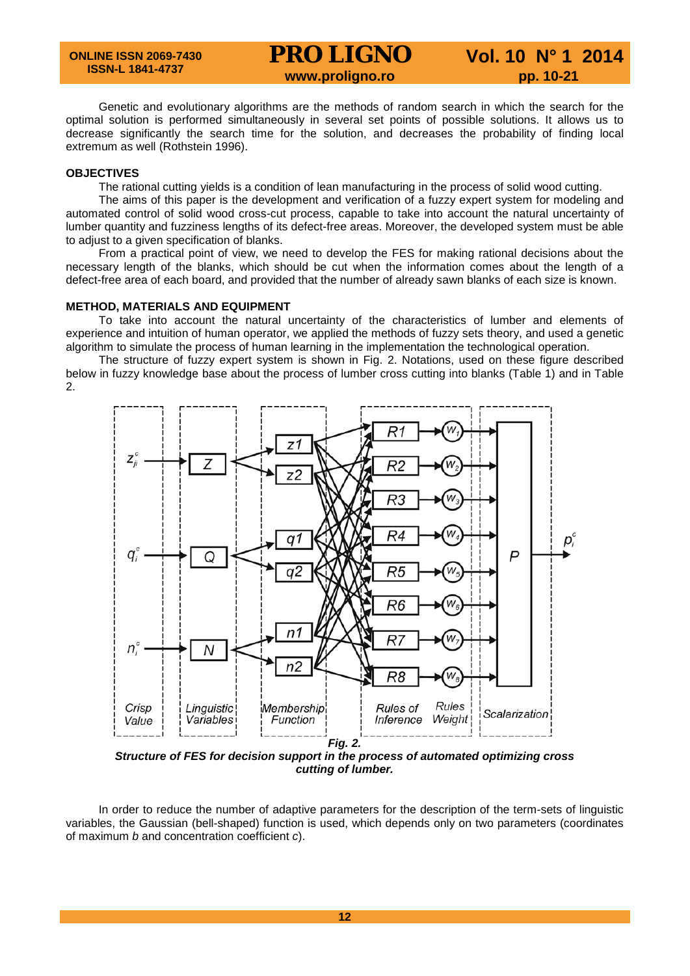Genetic and evolutionary algorithms are the methods of random search in which the search for the optimal solution is performed simultaneously in several set points of possible solutions. It allows us to decrease significantly the search time for the solution, and decreases the probability of finding local extremum as well (Rothstein 1996).

## **OBJECTIVES**

The rational cutting yields is a condition of lean manufacturing in the process of solid wood cutting.

The aims of this paper is the development and verification of a fuzzy expert system for modeling and automated control of solid wood cross-cut process, capable to take into account the natural uncertainty of lumber quantity and fuzziness lengths of its defect-free areas. Moreover, the developed system must be able to adjust to a given specification of blanks.

From a practical point of view, we need to develop the FES for making rational decisions about the necessary length of the blanks, which should be cut when the information comes about the length of a defect-free area of each board, and provided that the number of already sawn blanks of each size is known.

### **METHOD, MATERIALS AND EQUIPMENT**

To take into account the natural uncertainty of the characteristics of lumber and elements of experience and intuition of human operator, we applied the methods of fuzzy sets theory, and used a genetic algorithm to simulate the process of human learning in the implementation the technological operation.

The structure of fuzzy expert system is shown in Fig. 2. Notations, used on these figure described below in fuzzy knowledge base about the process of lumber cross cutting into blanks (Table 1) and in Table 2.



*Structure of FES for decision support in the process of automated optimizing cross cutting of lumber.*

In order to reduce the number of adaptive parameters for the description of the term-sets of linguistic variables, the Gaussian (bell-shaped) function is used, which depends only on two parameters (coordinates of maximum *b* and concentration coefficient *c*).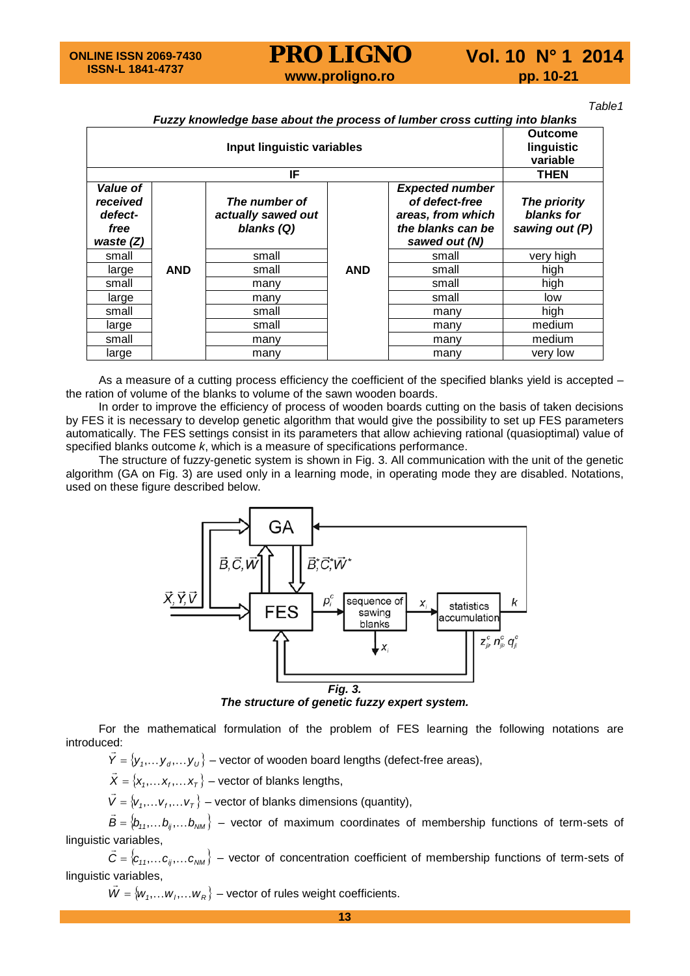*Table1*

# *Fuzzy knowledge base about the process of lumber cross cutting into blanks*

| Input linguistic variables                             |            |                                                   |            | <b>Outcome</b><br>linguistic<br>variable                                                            |                                              |
|--------------------------------------------------------|------------|---------------------------------------------------|------------|-----------------------------------------------------------------------------------------------------|----------------------------------------------|
| IF                                                     |            |                                                   |            |                                                                                                     | <b>THEN</b>                                  |
| Value of<br>received<br>defect-<br>free<br>waste $(Z)$ |            | The number of<br>actually sawed out<br>blanks (Q) |            | <b>Expected number</b><br>of defect-free<br>areas, from which<br>the blanks can be<br>sawed out (N) | The priority<br>blanks for<br>sawing out (P) |
| small                                                  |            | small                                             |            | small                                                                                               | very high                                    |
| large                                                  | <b>AND</b> | small                                             | <b>AND</b> | small                                                                                               | high                                         |
| small                                                  |            | many                                              |            | small                                                                                               | high                                         |
| large                                                  |            | many                                              |            | small                                                                                               | low                                          |
| small                                                  |            | small                                             |            | many                                                                                                | high                                         |
| large                                                  |            | small                                             |            | many                                                                                                | medium                                       |
| small                                                  |            | many                                              |            | many                                                                                                | medium                                       |
| large                                                  |            | many                                              |            | many                                                                                                | very low                                     |

As a measure of a cutting process efficiency the coefficient of the specified blanks yield is accepted – the ration of volume of the blanks to volume of the sawn wooden boards.

In order to improve the efficiency of process of wooden boards cutting on the basis of taken decisions by FES it is necessary to develop genetic algorithm that would give the possibility to set up FES parameters automatically. The FES settings consist in its parameters that allow achieving rational (quasioptimal) value of specified blanks outcome *k*, which is a measure of specifications performance.

The structure of fuzzy-genetic system is shown in Fig. 3. All communication with the unit of the genetic algorithm (GA on Fig. 3) are used only in a learning mode, in operating mode they are disabled. Notations, used on these figure described below.



*The structure of genetic fuzzy expert system.*

For the mathematical formulation of the problem of FES learning the following notations are introduced:

 $\vec{Y} = \{\bm{\mathsf{y}}_1, \dots \bm{\mathsf{y}}_d, \dots \bm{\mathsf{y}}_U\}$  – vector of wooden board lengths (defect-free areas),

 $\vec{X} = \{x_1, \dots x_r, \dots x_T\}$  – vector of blanks lengths,

 $\vec{V} = \{v_1, \dots, v_r, \dots, v_T\}$  – vector of blanks dimensions (quantity),

 $\vec{B} = \{b_{11}, \ldots, b_{ij}, \ldots, b_{NM}\}$  – vector of maximum coordinates of membership functions of term-sets of linguistic variables,

 $\vec{C} = \{c_{11}, \ldots c_{ij}, \ldots c_{NM}\}$  – vector of concentration coefficient of membership functions of term-sets of linguistic variables,

 $\vec{W} = \{w_1, \dots w_i, \dots w_R\}$  – vector of rules weight coefficients.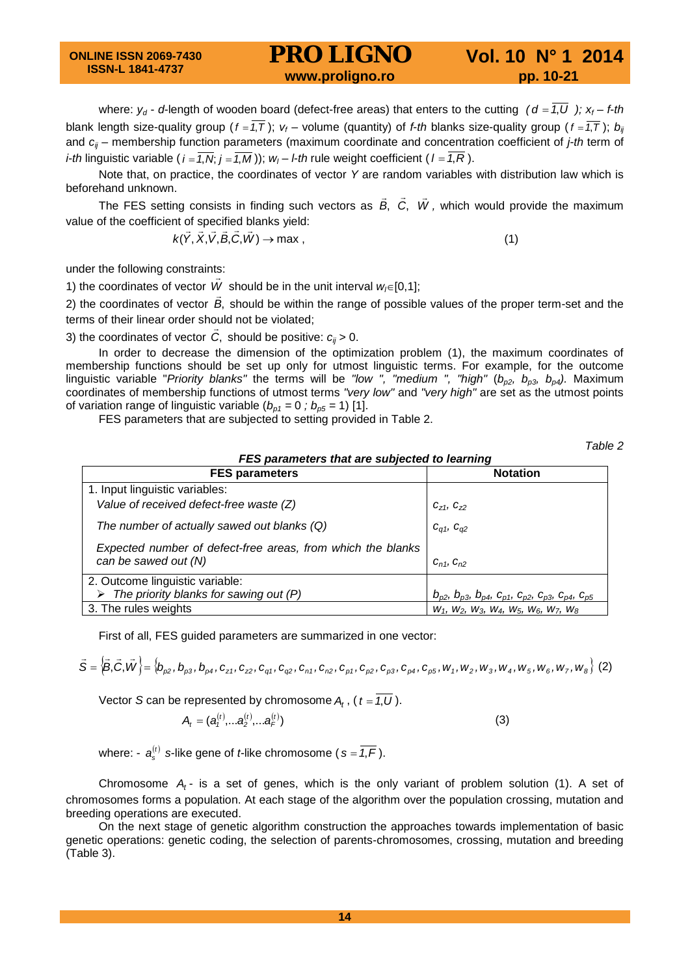where:  $y_d$  - *d*-length of wooden board (defect-free areas) that enters to the cutting  $(d = 7, U)$ ;  $x_f - f$ -*th* blank length size-quality group ( $f = \overline{1,T}$ );  $v_f$  – volume (quantity) of *f-th* blanks size-quality group ( $f = \overline{1,T}$ );  $b_{ij}$ and *cij* – membership function parameters (maximum coordinate and concentration coefficient of *j-th* term of *i-th* linguistic variable ( $i = \overline{1, N}$ ;  $j = \overline{1, M}$ ));  $w_j - l$ -*th* rule weight coefficient ( $l = \overline{1, R}$ ).

Note that, on practice, the coordinates of vector *Y* are random variables with distribution law which is beforehand unknown.

The FES setting consists in finding such vectors as *B*, *<sup>C</sup>*, *<sup>W</sup> ,* which would provide the maximum value of the coefficient of specified blanks yield:

$$
k(\vec{Y}, \vec{X}, \vec{V}, \vec{B}, \vec{C}, \vec{W}) \rightarrow \max ,
$$
 (1)

under the following constraints:

1) the coordinates of vector  $\vec{W}$  should be in the unit interval  $w_i \in [0,1]$ ;

2) the coordinates of vector *B*, should be within the range of possible values of the proper term-set and the terms of their linear order should not be violated;

3) the coordinates of vector  $\vec{C}$ , should be positive:  $c_{ij}$  > 0.

In order to decrease the dimension of the optimization problem (1), the maximum coordinates of membership functions should be set up only for utmost linguistic terms. For example, for the outcome linguistic variable "*Priority blanks"* the terms will be "low ", "medium ", "high" ( $b_{p2}$ ,  $b_{p3}$ ,  $b_{p4}$ ). Maximum coordinates of membership functions of utmost terms *"very low"* and *"very high"* are set as the utmost points of variation range of linguistic variable  $(b_{p1} = 0$ ;  $b_{p5} = 1)$  [1].

FES parameters that are subjected to setting provided in Table 2.

*Table 2*

| FES parameters that are subjected to learning                                       |                                                                                       |  |  |  |
|-------------------------------------------------------------------------------------|---------------------------------------------------------------------------------------|--|--|--|
| <b>FES parameters</b>                                                               | <b>Notation</b>                                                                       |  |  |  |
| 1. Input linguistic variables:                                                      |                                                                                       |  |  |  |
| Value of received defect-free waste (Z)                                             | $C_{Z1}$ , $C_{Z2}$                                                                   |  |  |  |
| The number of actually sawed out blanks (Q)                                         | $C_{q1}$ , $C_{q2}$                                                                   |  |  |  |
| Expected number of defect-free areas, from which the blanks<br>can be sawed out (N) | $C_{n1}$ , $C_{n2}$                                                                   |  |  |  |
| 2. Outcome linguistic variable:                                                     |                                                                                       |  |  |  |
| $\triangleright$ The priority blanks for sawing out (P)                             | $D_{p2}$ , $D_{p3}$ , $D_{p4}$ , $C_{p1}$ , $C_{p2}$ , $C_{p3}$ , $C_{p4}$ , $C_{p5}$ |  |  |  |
| 3. The rules weights                                                                | $W_1$ , $W_2$ , $W_3$ , $W_4$ , $W_5$ , $W_6$ , $W_7$ , $W_8$                         |  |  |  |

First of all, FES guided parameters are summarized in one vector:

$$
\vec{S} = \left\langle \vec{B}, \vec{C}, \vec{W} \right\rangle = \left\langle b_{\rho 2}, b_{\rho 3}, b_{\rho 4}, c_{z1}, c_{z2}, c_{q1}, c_{q2}, c_{n1}, c_{n2}, c_{\rho 1}, c_{\rho 2}, c_{\rho 3}, c_{\rho 4}, c_{\rho 5}, w_1, w_2, w_3, w_4, w_5, w_6, w_7, w_8 \right\rangle
$$
 (2)

Vector *S* can be represented by chromosome  $A_t$ , ( $t = \overline{1, U}$ ).

$$
A_{t} = (a_{t}^{(t)},...a_{2}^{(t)},...a_{F}^{(t)})
$$
\n(3)

where:  $-a_{s}^{(t)}$  *s*-like gene of *t*-like chromosome ( $s = \overline{1,F}$ ).

Chromosome *At* - is a set of genes, which is the only variant of problem solution (1). A set of chromosomes forms a population. At each stage of the algorithm over the population crossing, mutation and breeding operations are executed.

On the next stage of genetic algorithm construction the approaches towards implementation of basic genetic operations: genetic coding, the selection of parents-chromosomes, crossing, mutation and breeding (Table 3).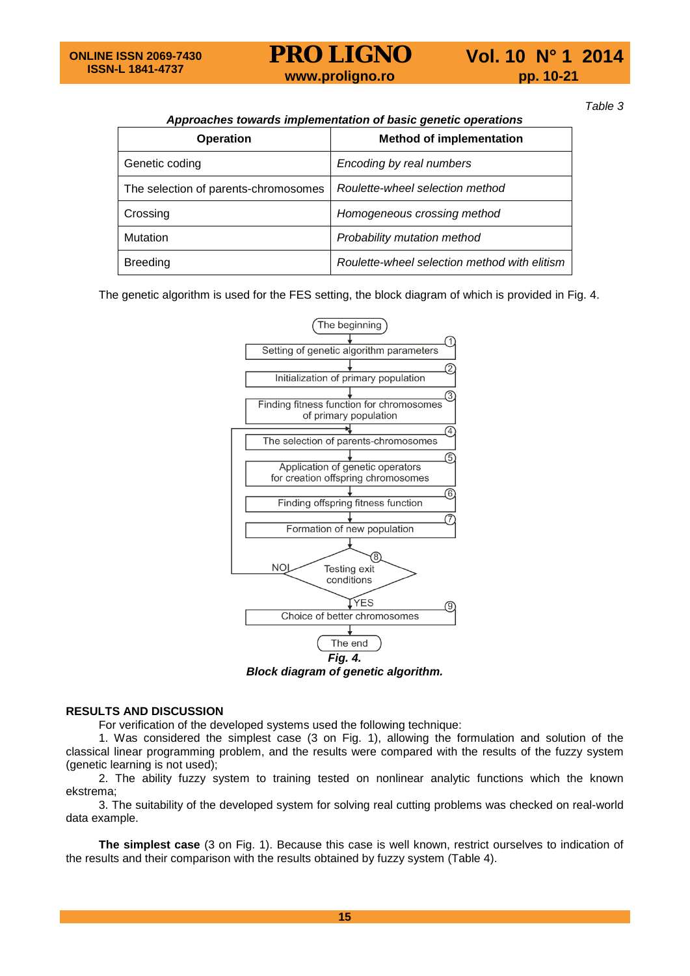

*Table 3*

# *Approaches towards implementation of basic genetic operations*

| <b>Operation</b>                     | <b>Method of implementation</b>              |  |
|--------------------------------------|----------------------------------------------|--|
| Genetic coding                       | Encoding by real numbers                     |  |
| The selection of parents-chromosomes | Roulette-wheel selection method              |  |
| Crossing                             | Homogeneous crossing method                  |  |
| Mutation                             | Probability mutation method                  |  |
| <b>Breeding</b>                      | Roulette-wheel selection method with elitism |  |

The genetic algorithm is used for the FES setting, the block diagram of which is provided in Fig. 4.



*Block diagram of genetic algorithm.*

# **RESULTS AND DISCUSSION**

For verification of the developed systems used the following technique:

1. Was considered the simplest case (3 on Fig. 1), allowing the formulation and solution of the classical linear programming problem, and the results were compared with the results of the fuzzy system (genetic learning is not used);

2. The ability fuzzy system to training tested on nonlinear analytic functions which the known ekstrema;

3. The suitability of the developed system for solving real cutting problems was checked on real-world data example.

**The simplest case** (3 on Fig. 1). Because this case is well known, restrict ourselves to indication of the results and their comparison with the results obtained by fuzzy system (Table 4).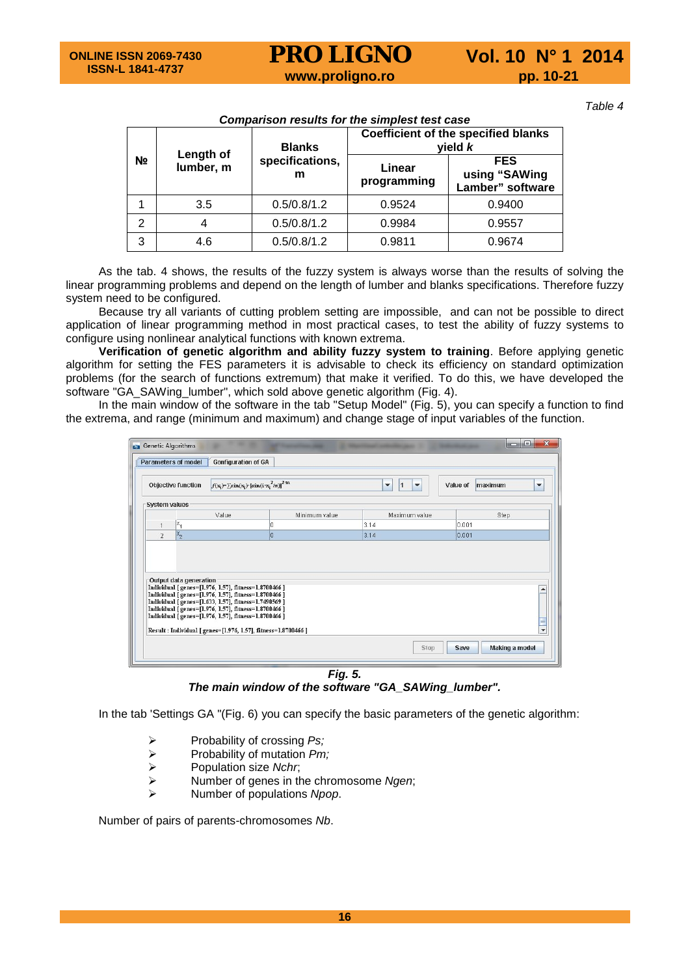*Table 4*

|                |                        | <b>Blanks</b>        | Companson results for the simplest test case<br><b>Coefficient of the specified blanks</b><br>yield $k$ |                                                 |  |
|----------------|------------------------|----------------------|---------------------------------------------------------------------------------------------------------|-------------------------------------------------|--|
| N <sub>2</sub> | Length of<br>lumber, m | specifications,<br>m | Linear<br>programming                                                                                   | <b>FES</b><br>using "SAWing<br>Lamber" software |  |
|                | 3.5                    | 0.5/0.8/1.2          | 0.9524                                                                                                  | 0.9400                                          |  |
| $\overline{2}$ |                        | 0.5/0.8/1.2          | 0.9984                                                                                                  | 0.9557                                          |  |
| 3              | 4.6                    | 0.5/0.8/1.2          | 0.9811                                                                                                  | 0.9674                                          |  |

*Comparison results for the simplest test case*

As the tab. 4 shows, the results of the fuzzy system is always worse than the results of solving the linear programming problems and depend on the length of lumber and blanks specifications. Therefore fuzzy system need to be configured.

Because try all variants of cutting problem setting are impossible, and can not be possible to direct application of linear programming method in most practical cases, to test the ability of fuzzy systems to configure using nonlinear analytical functions with known extrema.

**Verification of genetic algorithm and ability fuzzy system to training**. Before applying genetic algorithm for setting the FES parameters it is advisable to check its efficiency on standard optimization problems (for the search of functions extremum) that make it verified. To do this, we have developed the software "GA\_SAWing\_lumber", which sold above genetic algorithm (Fig. 4).

In the main window of the software in the tab "Setup Model" (Fig. 5), you can specify a function to find the extrema, and range (minimum and maximum) and change stage of input variables of the function.

|                | <b>Parameters of model</b><br><b>Gonfiguration of GA</b>                                                                                                                                                                                                                                                                                                                 | $f(\mathbf{x}_i) = \sum \sin(\mathbf{x}_i) \cdot \left[ \sin(i \cdot \mathbf{x}_i^2 / \pi) \right]^2$ m | ▼<br>1<br>$\overline{\phantom{a}}$ | Value of<br>maximum<br>$\overline{\phantom{a}}$ |
|----------------|--------------------------------------------------------------------------------------------------------------------------------------------------------------------------------------------------------------------------------------------------------------------------------------------------------------------------------------------------------------------------|---------------------------------------------------------------------------------------------------------|------------------------------------|-------------------------------------------------|
|                | <b>Objective function</b>                                                                                                                                                                                                                                                                                                                                                |                                                                                                         |                                    |                                                 |
|                | <b>System values</b>                                                                                                                                                                                                                                                                                                                                                     |                                                                                                         |                                    |                                                 |
|                | Value                                                                                                                                                                                                                                                                                                                                                                    | Minimum value                                                                                           | Maximum value                      | Step                                            |
| 1              | $x_1$                                                                                                                                                                                                                                                                                                                                                                    | 0                                                                                                       | 3.14                               | 0.001                                           |
| $\overline{2}$ | $x_{2}$                                                                                                                                                                                                                                                                                                                                                                  | l0                                                                                                      | 3.14                               | 0.001                                           |
|                |                                                                                                                                                                                                                                                                                                                                                                          |                                                                                                         |                                    |                                                 |
|                | Output data generation<br>Individual [genes=[1.976, 1.57], fitness=1.8700466]<br>Individual [genes=[1.976, 1.57], fitness=1.8700466]<br>Individual [genes=[1.633, 1.57], fitness=1.7490569]<br>Individual [genes=[1.976, 1.57], fitness=1.8700466]<br>Individual [genes=[1.976, 1.57], fitness=1.8700466]<br>Result: Individual [genes=[1.976, 1.57], fitness=1.8700466] |                                                                                                         |                                    | $\overline{\phantom{0}}$                        |

*The main window of the software "GA\_SAWing\_lumber".*

In the tab 'Settings GA "(Fig. 6) you can specify the basic parameters of the genetic algorithm:

- **►** Probability of crossing *Ps;*<br>► Probability of mutation *Pm*.
- **EXALE** Probability of mutation *Pm;*<br>
► Population size *Nchr*;
- **EXACUTE:** Population size *Nchr*;<br>
EXACUTE: POPUT Number of genes in the
- **EXECUTE:** Number of genes in the chromosome *Ngen*;<br>
EXECUTE: Number of populations *Nnon*
- Number of populations *Npop*.

Number of pairs of parents-chromosomes *Nb*.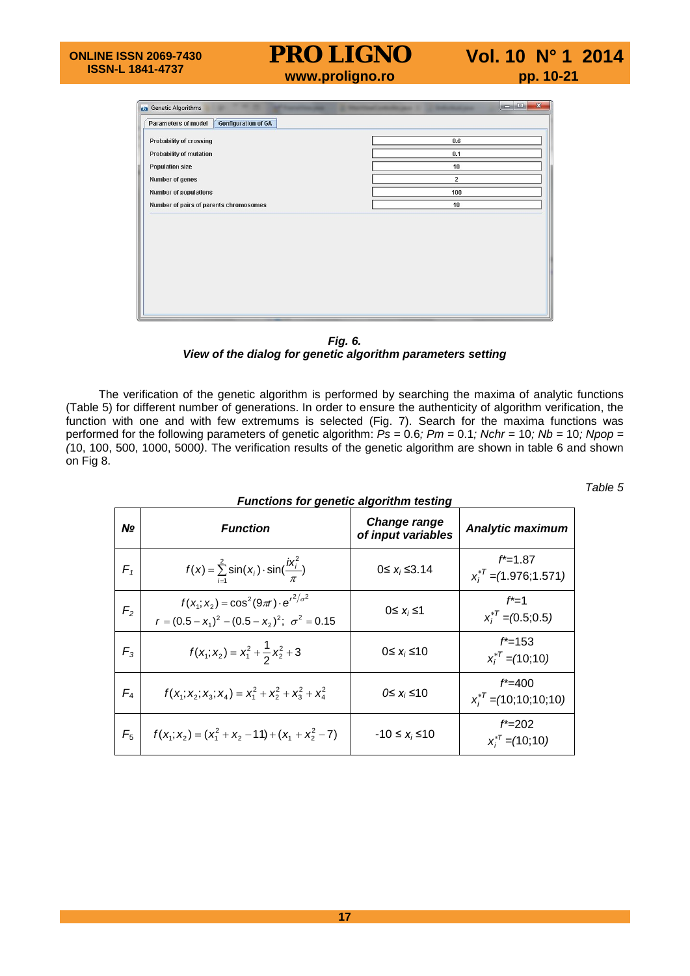| 0.6<br>0.1<br>10 |
|------------------|
|                  |
|                  |
|                  |
|                  |
| $\overline{2}$   |
| 100              |
| 10               |
|                  |
|                  |
|                  |

*Fig. 6. View of the dialog for genetic algorithm parameters setting*

The verification of the genetic algorithm is performed by searching the maxima of analytic functions (Table 5) for different number of generations. In order to ensure the authenticity of algorithm verification, the function with one and with few extremums is selected (Fig. 7). Search for the maxima functions was performed for the following parameters of genetic algorithm: *Ps =* 0.6*; Pm =* 0.1*; Nchr =* 10*; Nb =* 10*; Npop = (*10, 100, 500, 1000, 5000*)*. The verification results of the genetic algorithm are shown in table 6 and shown on Fig 8.

*Table 5*

| <b>Functions for genetic algorithm testing</b> |                                                                                                                  |                                    |                                            |  |  |
|------------------------------------------------|------------------------------------------------------------------------------------------------------------------|------------------------------------|--------------------------------------------|--|--|
| Nº                                             | <b>Function</b>                                                                                                  | Change range<br>of input variables | <b>Analytic maximum</b>                    |  |  |
| $F_{1}$                                        | $f(x) = \sum_{i=1}^{2} \sin(x_i) \cdot \sin(\frac{ix_i^2}{\pi})$                                                 | $0 ≤ x_i ≤ 3.14$                   | $f^*$ =1.87<br>$x_i^{*T}$ = (1.976; 1.571) |  |  |
| F <sub>2</sub>                                 | $f(x_1; x_2) = \cos^2(9\pi r) \cdot e^{r^2/\sigma^2}$<br>$r = (0.5 - x_1)^2 - (0.5 - x_2)^2$ ; $\sigma^2 = 0.15$ | $0 \leq x_i \leq 1$                | $f^*$ =1<br>$x_i^{*T} = (0.5, 0.5)$        |  |  |
| $F_3$                                          | $f(x_1; x_2) = x_1^2 + \frac{1}{2}x_2^2 + 3$                                                                     | $0 \leq x_i \leq 10$               | $f^* = 153$<br>$x_i^{*T}$ = (10;10)        |  |  |
| $F_4$                                          | $f(x_1; x_2; x_3; x_4) = x_1^2 + x_2^2 + x_3^2 + x_4^2$                                                          | $0 \leq x_i \leq 10$               | $f^* = 400$<br>$x_i^{*T}$ = (10;10;10;10)  |  |  |
| $F_5$                                          | $f(x_1; x_2) = (x_1^2 + x_2 - 11) + (x_1 + x_2^2 - 7)$                                                           | $-10 \le x_i \le 10$               | $f^* = 202$<br>$x_i^{*T} = (10, 10)$       |  |  |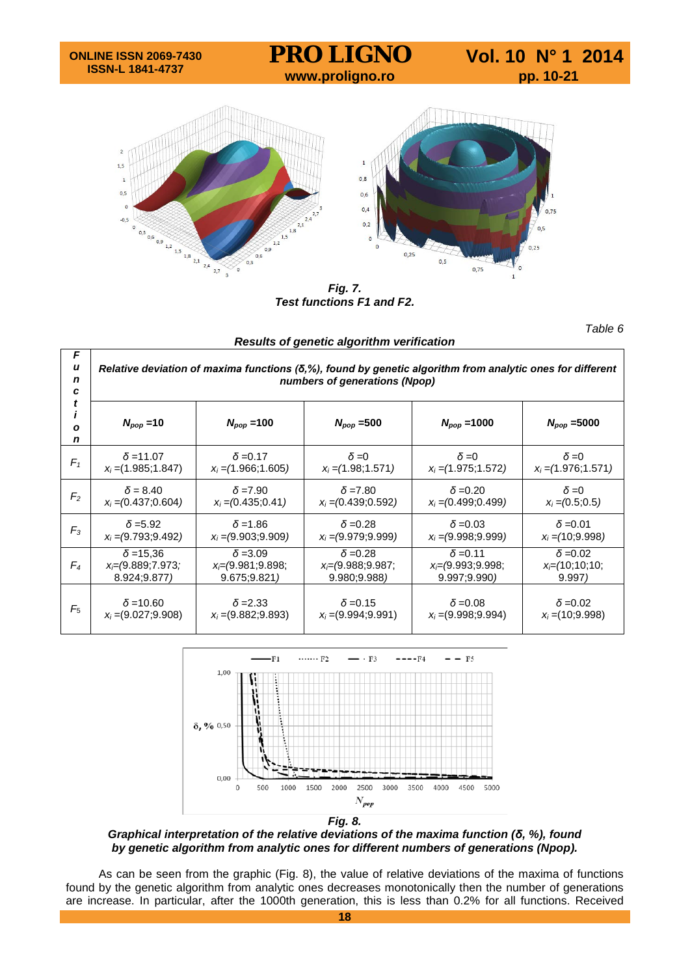

*Fig. 7. Test functions F1 and F2.*

|                  | Results of genetic algorithm verification                                                                                                            |                        |                        |                        |                        |  |  |
|------------------|------------------------------------------------------------------------------------------------------------------------------------------------------|------------------------|------------------------|------------------------|------------------------|--|--|
| F<br>u<br>n<br>C | Relative deviation of maxima functions $(\delta, \%)$ , found by genetic algorithm from analytic ones for different<br>numbers of generations (Npop) |                        |                        |                        |                        |  |  |
| O<br>n           | $N_{pop} = 10$                                                                                                                                       | $N_{pop} = 100$        | $N_{pop} = 500$        | $N_{pop} = 1000$       | $N_{pop} = 5000$       |  |  |
| $F_1$            | $\delta$ = 11.07                                                                                                                                     | $\delta = 0.17$        | $\delta = 0$           | $\delta = 0$           | $\delta = 0$           |  |  |
|                  | $x_i = (1.985; 1.847)$                                                                                                                               | $x_i = (1.966; 1.605)$ | $x_i = (1.98, 1.571)$  | $x_i = (1.975; 1.572)$ | $x_i = (1.976; 1.571)$ |  |  |
| F <sub>2</sub>   | $\delta = 8.40$                                                                                                                                      | $\delta$ =7.90         | $\delta$ =7.80         | $\delta = 0.20$        | $\delta = 0$           |  |  |
|                  | $x_i = (0.437, 0.604)$                                                                                                                               | $x_i = (0.435, 0.41)$  | $x_i = (0.439; 0.592)$ | $x_i = (0.499, 0.499)$ | $x_i = (0.5, 0.5)$     |  |  |
| $F_3$            | $\delta = 5.92$                                                                                                                                      | $\delta$ = 1.86        | $\delta = 0.28$        | $\delta = 0.03$        | $\delta = 0.01$        |  |  |
|                  | $x_i = (9.793, 9.492)$                                                                                                                               | $x_i = (9.903, 9.909)$ | $x_i = (9.979, 9.999)$ | $x_i = (9.998, 9.999)$ | $x_i = (10, 9.998)$    |  |  |
| $F_4$            | $\delta$ = 15.36                                                                                                                                     | $\delta = 3.09$        | $\delta = 0.28$        | $\delta = 0.11$        | $\delta = 0.02$        |  |  |
|                  | $x= (9.889; 7.973)$                                                                                                                                  | $x= (9.981; 9.898;$    | $x= (9.988, 9.987)$    | $x= (9.993, 9.998)$    | $x=(10;10;10;$         |  |  |
|                  | 8.924;9.877)                                                                                                                                         | 9.675;9.821)           | 9.980; 9.988)          | 9.997;9.990)           | 9.997)                 |  |  |
| $F_5$            | $\delta$ =10.60                                                                                                                                      | $\delta$ =2.33         | $\delta$ =0.15         | $\delta$ =0.08         | $\delta$ =0.02         |  |  |
|                  | $x_i = (9.027; 9.908)$                                                                                                                               | $x_i = (9.882; 9.893)$ | $x_i = (9.994; 9.991)$ | $x_i = (9.998; 9.994)$ | $x_i = (10, 9.998)$    |  |  |



*Graphical interpretation of the relative deviations of the maxima function (δ, %), found by genetic algorithm from analytic ones for different numbers of generations (Npop).*

As can be seen from the graphic (Fig. 8), the value of relative deviations of the maxima of functions found by the genetic algorithm from analytic ones decreases monotonically then the number of generations are increase. In particular, after the 1000th generation, this is less than 0.2% for all functions. Received

*Table 6*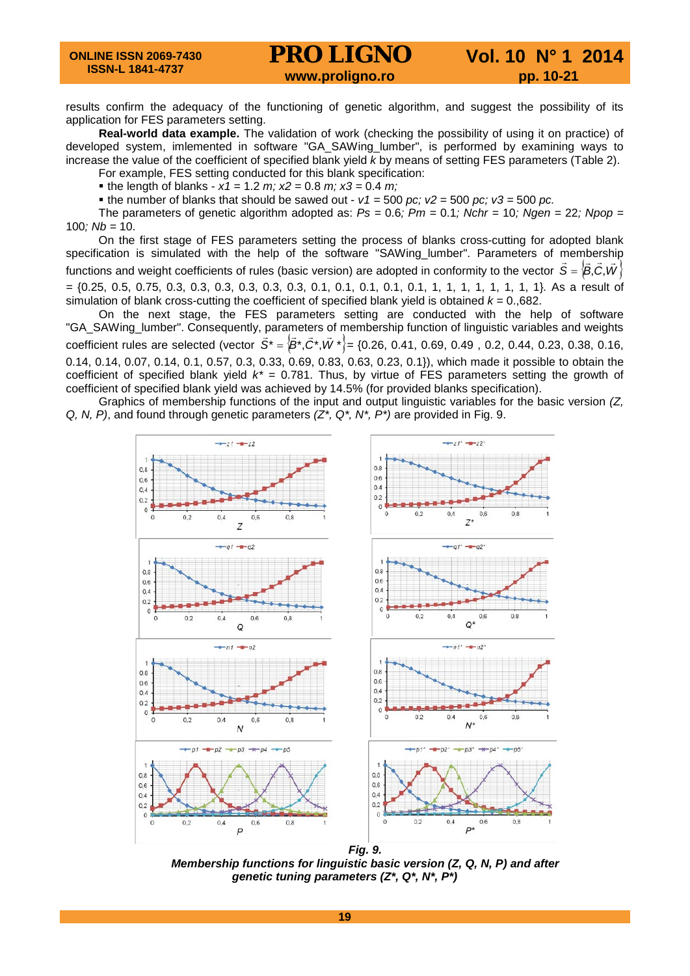results confirm the adequacy of the functioning of genetic algorithm, and suggest the possibility of its application for FES parameters setting.

**Real-world data example.** The validation of work (checking the possibility of using it on practice) of developed system, imlemented in software "GA\_SAWing\_lumber", is performed by examining ways to increase the value of the coefficient of specified blank yield *k* by means of setting FES parameters (Table 2). For example, FES setting conducted for this blank specification:

the length of blanks -  $x1 = 1.2$  *m;*  $x2 = 0.8$  *m;*  $x3 = 0.4$  *m;* 

the number of blanks that should be sawed out -  $v1 = 500$  *pc; v2* = 500 *pc; v3* = 500 *pc.* 

The parameters of genetic algorithm adopted as:  $Ps = 0.6$ ;  $Pm = 0.1$ ; Nchr = 10; Ngen = 22; Npop = 100*; Nb =* 10.

On the first stage of FES parameters setting the process of blanks cross-cutting for adopted blank specification is simulated with the help of the software "SAWing lumber". Parameters of membership functions and weight coefficients of rules (basic version) are adopted in conformity to the vector  $\hat{S} = \langle \hat{B}, \hat{C}, \hat{W} \rangle$ *=* {0.25, 0.5, 0.75, 0.3, 0.3, 0.3, 0.3, 0.3, 0.3, 0.1, 0.1, 0.1, 0.1, 0.1, 1, 1, 1, 1, 1, 1, 1, 1}*.* As a result of simulation of blank cross-cutting the coefficient of specified blank yield is obtained *k =* 0.,682.

On the next stage, the FES parameters setting are conducted with the help of software "GA\_SAWing\_lumber". Consequently, parameters of membership function of linguistic variables and weights coefficient rules are selected (vector  $\vec{S}^* = \left\{\vec{B}^*, \vec{C}^*, \vec{W}^*\right\} = \{0.26, 0.41, 0.69, 0.49, 0.2, 0.44, 0.23, 0.38, 0.16,$ 0.14, 0.14, 0.07, 0.14, 0.1, 0.57, 0.3, 0.33, 0.69, 0.83, 0.63, 0.23, 0.1}), which made it possible to obtain the coefficient of specified blank yield *k\* =* 0.781. Thus, by virtue of FES parameters setting the growth of coefficient of specified blank yield was achieved by 14.5% (for provided blanks specification).

Graphics of membership functions of the input and output linguistic variables for the basic version *(Z, Q, N, P)*, and found through genetic parameters *(Z\*, Q\*, N\*, P\*)* are provided in Fig. 9.



*Membership functions for linguistic basic version (Z, Q, N, P) and after genetic tuning parameters (Z\*, Q\*, N\*, P\*)*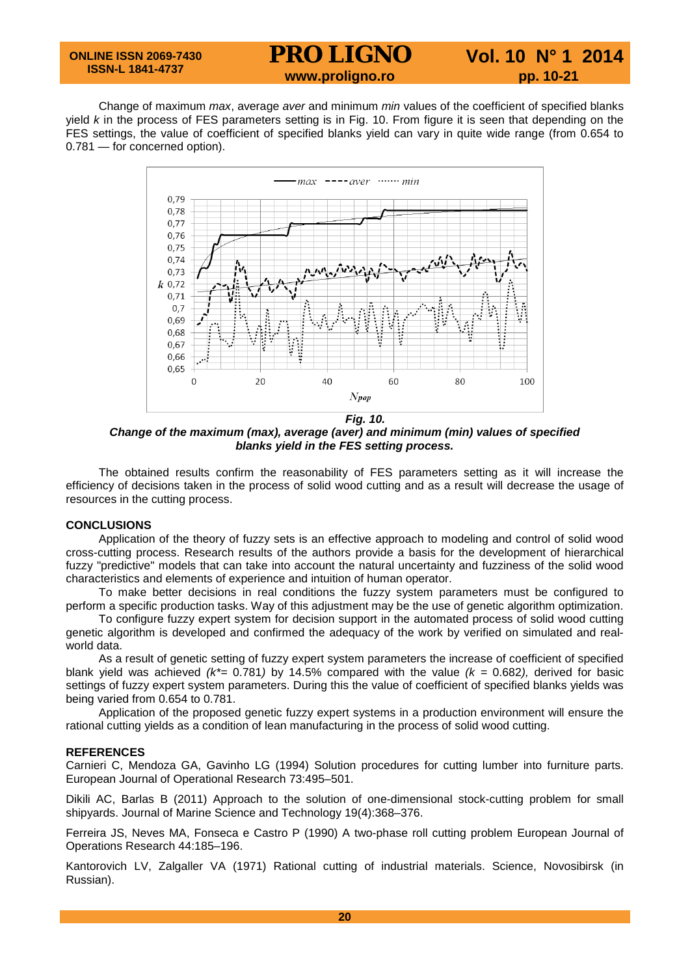Change of maximum *max*, average *aver* and minimum *min* values of the coefficient of specified blanks yield *k* in the process of FES parameters setting is in Fig. 10. From figure it is seen that depending on the FES settings, the value of coefficient of specified blanks yield can vary in quite wide range (from 0.654 to 0.781 — for concerned option).



*Fig. 10. Change of the maximum (max), average (aver) and minimum (min) values of specified blanks yield in the FES setting process.*

The obtained results confirm the reasonability of FES parameters setting as it will increase the efficiency of decisions taken in the process of solid wood cutting and as a result will decrease the usage of resources in the cutting process.

### **CONCLUSIONS**

Application of the theory of fuzzy sets is an effective approach to modeling and control of solid wood cross-cutting process. Research results of the authors provide a basis for the development of hierarchical fuzzy "predictive" models that can take into account the natural uncertainty and fuzziness of the solid wood characteristics and elements of experience and intuition of human operator.

To make better decisions in real conditions the fuzzy system parameters must be configured to perform a specific production tasks. Way of this adjustment may be the use of genetic algorithm optimization.

To configure fuzzy expert system for decision support in the automated process of solid wood cutting genetic algorithm is developed and confirmed the adequacy of the work by verified on simulated and realworld data.

As a result of genetic setting of fuzzy expert system parameters the increase of coefficient of specified blank yield was achieved *(k\*=* 0.781*)* by 14.5% compared with the value *(k =* 0.682*),* derived for basic settings of fuzzy expert system parameters. During this the value of coefficient of specified blanks yields was being varied from 0.654 to 0.781.

Application of the proposed genetic fuzzy expert systems in a production environment will ensure the rational cutting yields as a condition of lean manufacturing in the process of solid wood cutting.

## **REFERENCES**

Carnieri C, Mendoza GA, Gavinho LG (1994) Solution procedures for cutting lumber into furniture parts. European Journal of Operational Research 73:495–501.

Dikili AC, Barlas B (2011) Approach to the solution of one-dimensional stock-cutting problem for small shipyards. Journal of Marine Science and Technology 19(4):368–376.

Ferreira JS, Neves MA, Fonseca e Castro P (1990) A two-phase roll cutting problem European Journal of Operations Research 44:185–196.

Kantorovich LV, Zalgaller VA (1971) Rational cutting of industrial materials. Science, Novosibirsk (in Russian).